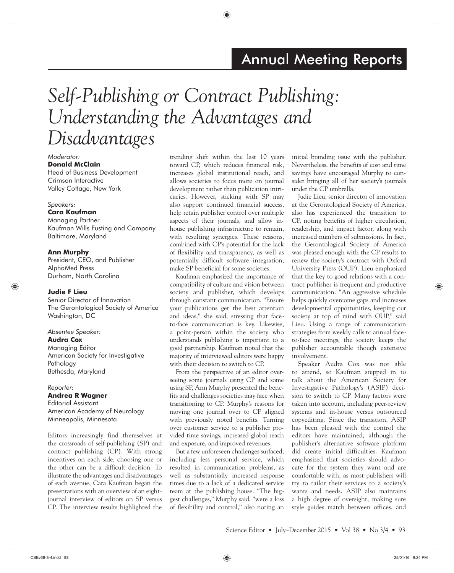# *Self-Publishing or Contract Publishing: Understanding the Advantages and Disadvantages*

#### *Moderator:*

**Donald McClain** Head of Business Development Crimson Interactive Valley Cottage, New York

#### *Speakers:*

#### **Cara Kaufman**

Managing Partner Kaufman Wills Fusting and Company Baltimore, Maryland

#### **Ann Murphy**

President, CEO, and Publisher AlphaMed Press Durham, North Carolina

#### **Judie F Lieu**

Senior Director of Innovation The Gerontological Society of America Washington, DC

#### *Absentee Speaker:*

#### **Audra Cox**

Managing Editor American Society for Investigative Pathology Bethesda, Maryland

#### *Reporter:*

**Andrea R Wagner** Editorial Assistant American Academy of Neurology Minneapolis, Minnesota

Editors increasingly find themselves at the crossroads of self-publishing (SP) and contract publishing (CP). With strong incentives on each side, choosing one or the other can be a difficult decision. To illustrate the advantages and disadvantages of each avenue, Cara Kaufman began the presentations with an overview of an eightjournal interview of editors on SP versus CP. The interview results highlighted the

trending shift within the last 10 years toward CP, which reduces financial risk, increases global institutional reach, and allows societies to focus more on journal development rather than publication intricacies. However, sticking with SP may also support continued financial success, help retain publisher control over multiple aspects of their journals, and allow inhouse publishing infrastructure to remain, with resulting synergies. These reasons, combined with CP's potential for the lack of flexibility and transparency, as well as potentially difficult software integration, make SP beneficial for some societies.

Kaufman emphasized the importance of compatibility of culture and vision between society and publisher, which develops through constant communication. "Ensure your publications get the best attention and ideas," she said, stressing that faceto-face communication is key. Likewise, a point-person within the society who understands publishing is important to a good partnership. Kaufman noted that the majority of interviewed editors were happy with their decision to switch to CP.

From the perspective of an editor overseeing some journals using CP and some using SP, Ann Murphy presented the benefits and challenges societies may face when transitioning to CP. Murphy's reasons for moving one journal over to CP aligned with previously noted benefits. Turning over customer service to a publisher provided time savings, increased global reach and exposure, and improved revenues.

But a few unforeseen challenges surfaced, including less personal service, which resulted in communication problems, as well as substantially increased response times due to a lack of a dedicated service team at the publishing house. "The biggest challenges," Murphy said, "were a loss of flexibility and control," also noting an

initial branding issue with the publisher. Nevertheless, the benefits of cost and time savings have encouraged Murphy to consider bringing all of her society's journals under the CP umbrella.

Judie Lieu, senior director of innovation at the Gerontological Society of America, also has experienced the transition to CP, noting benefits of higher circulation, readership, and impact factor, along with increased numbers of submissions. In fact, the Gerontological Society of America was pleased enough with the CP results to renew the society's contract with Oxford University Press (OUP). Lieu emphasized that the key to good relations with a contract publisher is frequent and productive communication. "An aggressive schedule helps quickly overcome gaps and increases developmental opportunities, keeping our society at top of mind with OUP," said Lieu. Using a range of communication strategies from weekly calls to annual faceto-face meetings, the society keeps the publisher accountable though extensive involvement.

Speaker Audra Cox was not able to attend, so Kaufman stepped in to talk about the American Society for Investigative Pathology's (ASIP) decision to switch to CP. Many factors were taken into account, including peer-review systems and in-house versus outsourced copyediting. Since the transition, ASIP has been pleased with the control the editors have maintained, although the publisher's alternative software platform did create initial difficulties. Kaufman emphasized that societies should advocate for the system they want and are comfortable with, as most publishers will try to tailor their services to a society's wants and needs. ASIP also maintains a high degree of oversight, making sure style guides match between offices, and